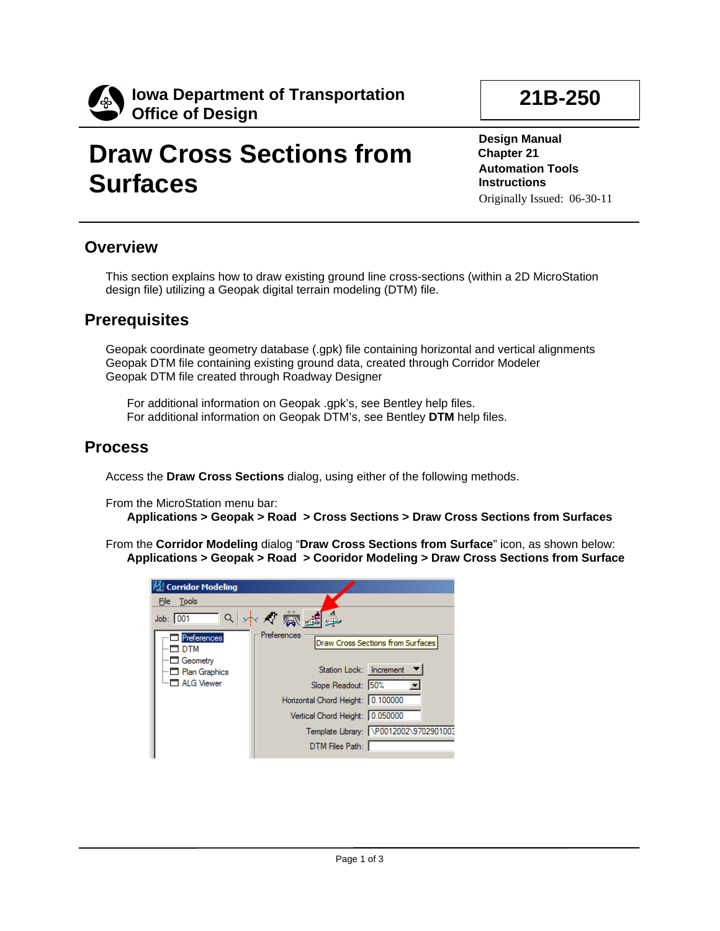

# **Draw Cross Sections from Surfaces**

**21B-250**

**Design Manual Chapter 21 Automation Tools Instructions** Originally Issued: 06-30-11

### **Overview**

This section explains how to draw existing ground line cross-sections (within a 2D MicroStation design file) utilizing a Geopak digital terrain modeling (DTM) file.

### **Prerequisites**

Geopak coordinate geometry database (.gpk) file containing horizontal and vertical alignments Geopak DTM file containing existing ground data, created through Corridor Modeler Geopak DTM file created through Roadway Designer

For additional information on Geopak .gpk's, see Bentley help files. For additional information on Geopak DTM's, see Bentley **DTM** help files.

#### **Process**

Access the **Draw Cross Sections** dialog, using either of the following methods.

From the MicroStation menu bar:

**Applications > Geopak > Road > Cross Sections > Draw Cross Sections from Surfaces**

From the **Corridor Modeling** dialog "**Draw Cross Sections from Surface**" icon, as shown below: **Applications > Geopak > Road > Cooridor Modeling > Draw Cross Sections from Surface**

| <b>Corridor Modeling</b>                                           |                                                                                                                                                                                                                                        |  |
|--------------------------------------------------------------------|----------------------------------------------------------------------------------------------------------------------------------------------------------------------------------------------------------------------------------------|--|
| File Tools                                                         |                                                                                                                                                                                                                                        |  |
| 8 水々寡毒<br>Job: 001                                                 |                                                                                                                                                                                                                                        |  |
| Preferences<br>DTM<br>□ Geometry<br>Plan Graphics<br>□ Al G Viewer | Preferences<br>Draw Cross Sections from Surfaces<br>Station Lock: Increment<br>Slope Readout: 50%<br>Horizontal Chord Height: 0.100000<br>Vertical Chord Height: 0.050000<br>Template Library: \P0012002\9702901003<br>DTM Files Path: |  |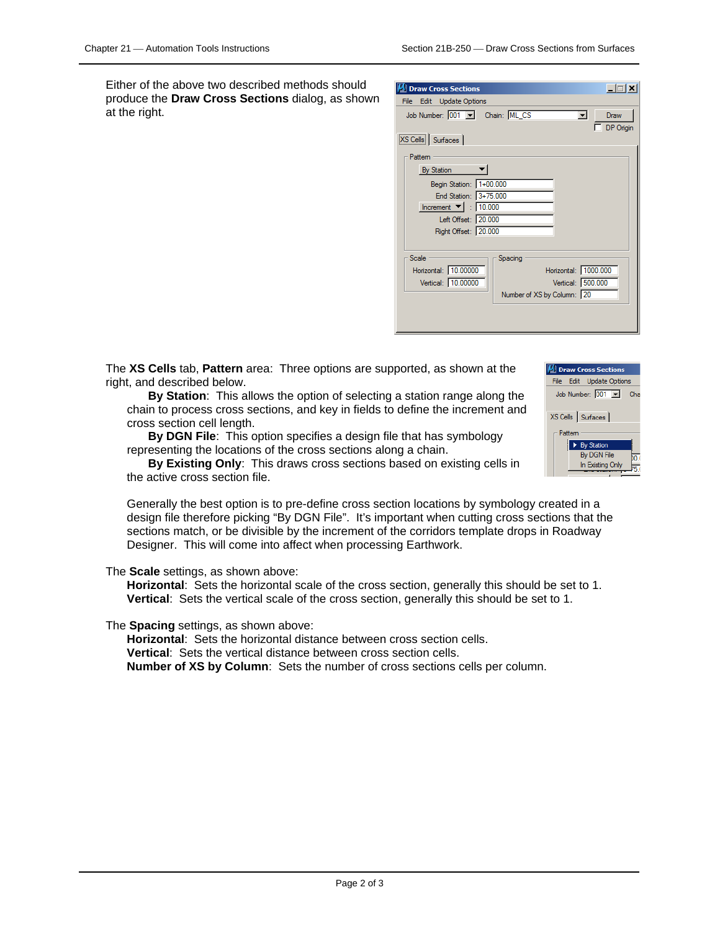Either of the above two described methods should produce the **Draw Cross Sections** dialog, as shown at the right.

| $\Box$ $\Box$<br><b>Draw Cross Sections</b>  |
|----------------------------------------------|
| File Edit Update Options                     |
| Job Number: 001   Chain: ML CS<br>▼<br>Draw  |
| DP Origin                                    |
| XS Cells   Surfaces                          |
| Pattern                                      |
|                                              |
| <b>By Station</b>                            |
| Begin Station: 1+00.000                      |
| End Station: 3+75.000                        |
| Increment $\blacktriangledown$ : 10.000      |
| Left Offset: 20.000                          |
| Right Offset: 20.000                         |
|                                              |
| Scale<br>Spacing                             |
| Horizontal: 10.00000<br>Horizontal: 1000.000 |
| Vertical: 10.00000<br>Vertical: 500.000      |
| Number of XS by Column: 20                   |
|                                              |
|                                              |
|                                              |

The **XS Cells** tab, **Pattern** area:Three options are supported, as shown at the right, and described below.

**By Station**: This allows the option of selecting a station range along the chain to process cross sections, and key in fields to define the increment and cross section cell length.

**By DGN File**: This option specifies a design file that has symbology representing the locations of the cross sections along a chain.

| <b>Draw Cross Sections</b>  |  |  |
|-----------------------------|--|--|
| Edit Update Options<br>File |  |  |
| Job Number: $001$<br>Cha    |  |  |
|                             |  |  |
| XS Cells   Surfaces         |  |  |
| Pattem                      |  |  |
| i<br>▶ By Station           |  |  |
| <b>By DGN File</b>          |  |  |
| In Existing Only            |  |  |
|                             |  |  |

**By Existing Only**: This draws cross sections based on existing cells in the active cross section file.

Generally the best option is to pre-define cross section locations by symbology created in a design file therefore picking "By DGN File". It's important when cutting cross sections that the sections match, or be divisible by the increment of the corridors template drops in Roadway Designer. This will come into affect when processing Earthwork.

The **Scale** settings, as shown above:

**Horizontal**: Sets the horizontal scale of the cross section, generally this should be set to 1. **Vertical**: Sets the vertical scale of the cross section, generally this should be set to 1.

The **Spacing** settings, as shown above:

**Horizontal**: Sets the horizontal distance between cross section cells. **Vertical**: Sets the vertical distance between cross section cells. **Number of XS by Column**: Sets the number of cross sections cells per column.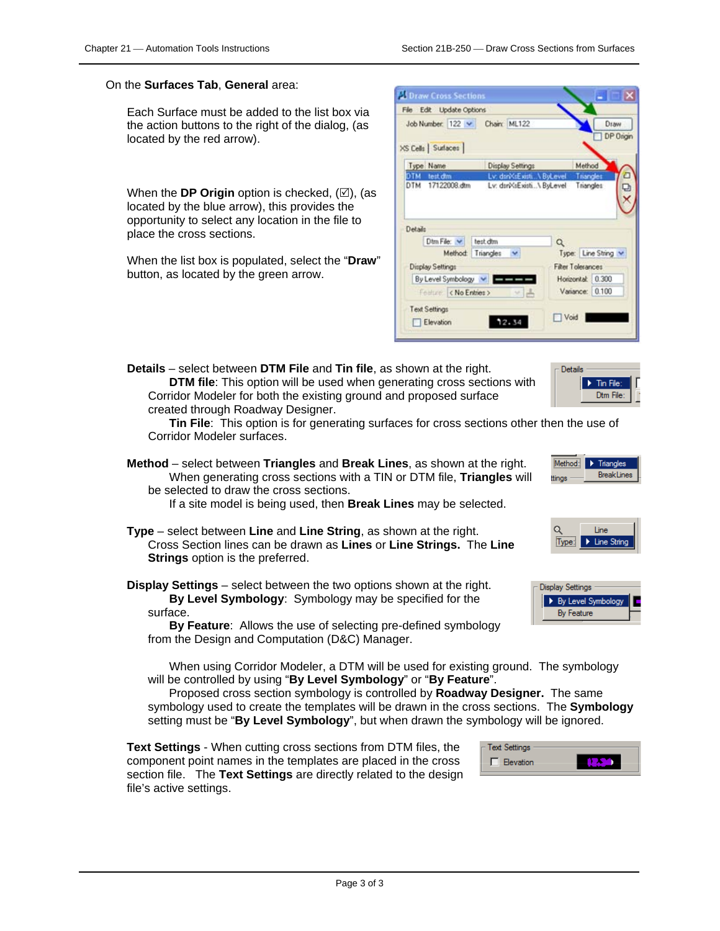#### On the **Surfaces Tab**, **General** area:

Each Surface must be added to the list box via the action buttons to the right of the dialog, (as located by the red arrow).

When the **DP Origin** option is checked,  $(\boxtimes)$ , (as located by the blue arrow), this provides the opportunity to select any location in the file to place the cross sections.

When the list box is populated, select the "**Draw**" button, as located by the green arrow.



**Details** – select between **DTM File** and **Tin file**, as shown at the right. **DTM file**: This option will be used when generating cross sections with Corridor Modeler for both the existing ground and proposed surface created through Roadway Designer.

**Tin File**: This option is for generating surfaces for cross sections other then the use of Corridor Modeler surfaces.

**Method** – select between **Triangles** and **Break Lines**, as shown at the right. When generating cross sections with a TIN or DTM file, **Triangles** will be selected to draw the cross sections.

If a site model is being used, then **Break Lines** may be selected.

- **Type** select between **Line** and **Line String**, as shown at the right. Cross Section lines can be drawn as **Lines** or **Line Strings.** The **Line Strings** option is the preferred.
- **Display Settings** select between the two options shown at the right. **By Level Symbology**: Symbology may be specified for the surface.

**By Feature**: Allows the use of selecting pre-defined symbology from the Design and Computation (D&C) Manager.

When using Corridor Modeler, a DTM will be used for existing ground. The symbology will be controlled by using "**By Level Symbology**" or "**By Feature**".

Proposed cross section symbology is controlled by **Roadway Designer.** The same symbology used to create the templates will be drawn in the cross sections. The **Symbology**  setting must be "**By Level Symbology**", but when drawn the symbology will be ignored.

**Text Settings** - When cutting cross sections from DTM files, the component point names in the templates are placed in the cross section file. The **Text Settings** are directly related to the design file's active settings.



| Method: | <b>Triangles</b> |
|---------|------------------|
|         | BreakLines       |

 $\triangleright$  Tin File: Dtm File:

Details

ttings